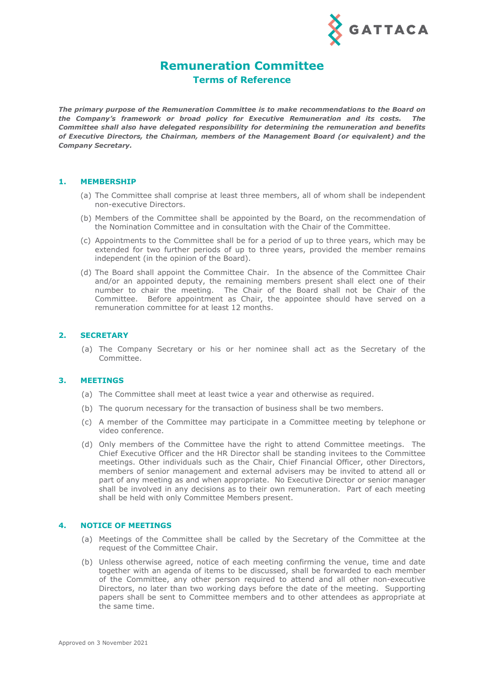

# **Remuneration Committee**

**Terms of Reference**

*The primary purpose of the Remuneration Committee is to make recommendations to the Board on the Company's framework or broad policy for Executive Remuneration and its costs. The Committee shall also have delegated responsibility for determining the remuneration and benefits of Executive Directors, the Chairman, members of the Management Board (or equivalent) and the Company Secretary.*

#### **1. MEMBERSHIP**

- (a) The Committee shall comprise at least three members, all of whom shall be independent non-executive Directors.
- (b) Members of the Committee shall be appointed by the Board, on the recommendation of the Nomination Committee and in consultation with the Chair of the Committee.
- (c) Appointments to the Committee shall be for a period of up to three years, which may be extended for two further periods of up to three years, provided the member remains independent (in the opinion of the Board).
- (d) The Board shall appoint the Committee Chair. In the absence of the Committee Chair and/or an appointed deputy, the remaining members present shall elect one of their number to chair the meeting. The Chair of the Board shall not be Chair of the Committee. Before appointment as Chair, the appointee should have served on a remuneration committee for at least 12 months.

## **2. SECRETARY**

(a) The Company Secretary or his or her nominee shall act as the Secretary of the Committee.

## **3. MEETINGS**

- (a) The Committee shall meet at least twice a year and otherwise as required.
- (b) The quorum necessary for the transaction of business shall be two members.
- (c) A member of the Committee may participate in a Committee meeting by telephone or video conference.
- (d) Only members of the Committee have the right to attend Committee meetings. The Chief Executive Officer and the HR Director shall be standing invitees to the Committee meetings. Other individuals such as the Chair, Chief Financial Officer, other Directors, members of senior management and external advisers may be invited to attend all or part of any meeting as and when appropriate. No Executive Director or senior manager shall be involved in any decisions as to their own remuneration. Part of each meeting shall be held with only Committee Members present.

# **4. NOTICE OF MEETINGS**

- (a) Meetings of the Committee shall be called by the Secretary of the Committee at the request of the Committee Chair.
- (b) Unless otherwise agreed, notice of each meeting confirming the venue, time and date together with an agenda of items to be discussed, shall be forwarded to each member of the Committee, any other person required to attend and all other non-executive Directors, no later than two working days before the date of the meeting. Supporting papers shall be sent to Committee members and to other attendees as appropriate at the same time.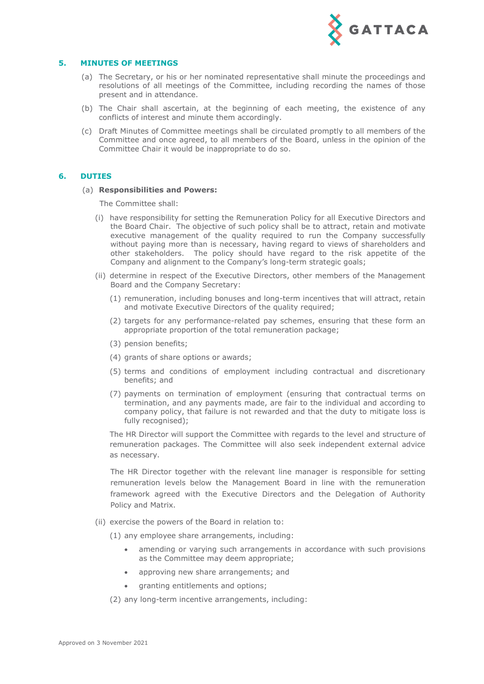

# **5. MINUTES OF MEETINGS**

- (a) The Secretary, or his or her nominated representative shall minute the proceedings and resolutions of all meetings of the Committee, including recording the names of those present and in attendance.
- (b) The Chair shall ascertain, at the beginning of each meeting, the existence of any conflicts of interest and minute them accordingly.
- (c) Draft Minutes of Committee meetings shall be circulated promptly to all members of the Committee and once agreed, to all members of the Board, unless in the opinion of the Committee Chair it would be inappropriate to do so.

# **6. DUTIES**

#### (a) **Responsibilities and Powers:**

The Committee shall:

- (i) have responsibility for setting the Remuneration Policy for all Executive Directors and the Board Chair. The objective of such policy shall be to attract, retain and motivate executive management of the quality required to run the Company successfully without paying more than is necessary, having regard to views of shareholders and other stakeholders. The policy should have regard to the risk appetite of the Company and alignment to the Company's long-term strategic goals;
- (ii) determine in respect of the Executive Directors, other members of the Management Board and the Company Secretary:
	- (1) remuneration, including bonuses and long-term incentives that will attract, retain and motivate Executive Directors of the quality required;
	- (2) targets for any performance-related pay schemes, ensuring that these form an appropriate proportion of the total remuneration package;
	- (3) pension benefits;
	- (4) grants of share options or awards;
	- (5) terms and conditions of employment including contractual and discretionary benefits; and
	- (7) payments on termination of employment (ensuring that contractual terms on termination, and any payments made, are fair to the individual and according to company policy, that failure is not rewarded and that the duty to mitigate loss is fully recognised);

The HR Director will support the Committee with regards to the level and structure of remuneration packages. The Committee will also seek independent external advice as necessary.

The HR Director together with the relevant line manager is responsible for setting remuneration levels below the Management Board in line with the remuneration framework agreed with the Executive Directors and the Delegation of Authority Policy and Matrix.

- (ii) exercise the powers of the Board in relation to:
	- (1) any employee share arrangements, including:
		- amending or varying such arrangements in accordance with such provisions as the Committee may deem appropriate;
		- approving new share arrangements; and
		- granting entitlements and options;
	- (2) any long-term incentive arrangements, including: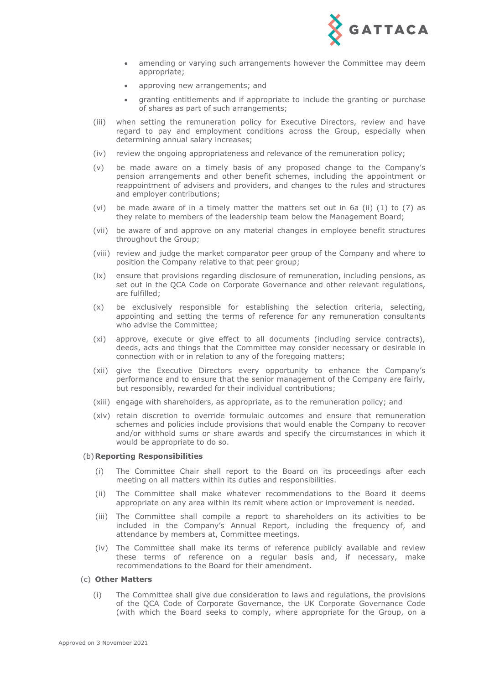

- amending or varying such arrangements however the Committee may deem appropriate;
- approving new arrangements; and
- granting entitlements and if appropriate to include the granting or purchase of shares as part of such arrangements;
- (iii) when setting the remuneration policy for Executive Directors, review and have regard to pay and employment conditions across the Group, especially when determining annual salary increases;
- (iv) review the ongoing appropriateness and relevance of the remuneration policy;
- (v) be made aware on a timely basis of any proposed change to the Company's pension arrangements and other benefit schemes, including the appointment or reappointment of advisers and providers, and changes to the rules and structures and employer contributions;
- (vi) be made aware of in a timely matter the matters set out in 6a (ii)  $(1)$  to  $(7)$  as they relate to members of the leadership team below the Management Board;
- (vii) be aware of and approve on any material changes in employee benefit structures throughout the Group;
- (viii) review and judge the market comparator peer group of the Company and where to position the Company relative to that peer group;
- (ix) ensure that provisions regarding disclosure of remuneration, including pensions, as set out in the QCA Code on Corporate Governance and other relevant regulations, are fulfilled;
- (x) be exclusively responsible for establishing the selection criteria, selecting, appointing and setting the terms of reference for any remuneration consultants who advise the Committee;
- (xi) approve, execute or give effect to all documents (including service contracts), deeds, acts and things that the Committee may consider necessary or desirable in connection with or in relation to any of the foregoing matters;
- (xii) give the Executive Directors every opportunity to enhance the Company's performance and to ensure that the senior management of the Company are fairly, but responsibly, rewarded for their individual contributions;
- (xiii) engage with shareholders, as appropriate, as to the remuneration policy; and
- (xiv) retain discretion to override formulaic outcomes and ensure that remuneration schemes and policies include provisions that would enable the Company to recover and/or withhold sums or share awards and specify the circumstances in which it would be appropriate to do so.

#### (b)**Reporting Responsibilities**

- (i) The Committee Chair shall report to the Board on its proceedings after each meeting on all matters within its duties and responsibilities.
- (ii) The Committee shall make whatever recommendations to the Board it deems appropriate on any area within its remit where action or improvement is needed.
- (iii) The Committee shall compile a report to shareholders on its activities to be included in the Company's Annual Report, including the frequency of, and attendance by members at, Committee meetings.
- (iv) The Committee shall make its terms of reference publicly available and review these terms of reference on a regular basis and, if necessary, make recommendations to the Board for their amendment.

#### (c) **Other Matters**

(i) The Committee shall give due consideration to laws and regulations, the provisions of the QCA Code of Corporate Governance, the UK Corporate Governance Code (with which the Board seeks to comply, where appropriate for the Group, on a